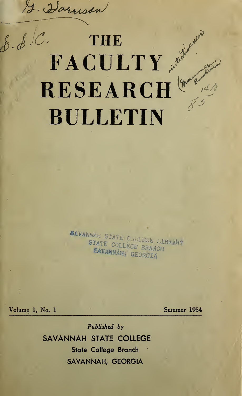J. Harrison

# $\delta$ .  $\delta$ . C. THE  $\mathbf{FACTY}$  in the second second second second second second second second second second second second second second second second second second second second second second second second second second second second second se  $\mathbf{RESEARCH}$ BULLETIN

SAVANNAR STATE COLLEGE LIBRARY STATE COLLEGE BRANCH SAVANNÁH, GEORGIA

Volume 1, No. 1 Summer 1954

Published by SAVANNAH STATE COLLEGE State College Branch SAVANNAH, GEORGIA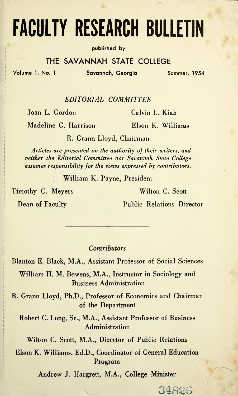# FACULTY RESEARCH BULLETIN

published by

### THE SAVANNAH STATE COLLEGE

Volume 1, No. <sup>1</sup> Savannah, Georgia Summer, 1954

EDITORIAL COMMITTEE

Joan L. Gordon Calvin L. Kiah

Madeline G. Harrison Elson K. Williams

R. Grann Lloyd, Chairman

Articles are presented on the authority of their writers, and neither the Editorial Committee nor Savannah State College  $assumes$  responsibility for the views expressed by contributors.

William K. Payne, President

Timothy C. Meyers Wilton C. Scott

Dean of Faculty Public Relations Director

34826

**Contributors** 

Blanton E. Black, M.A., Assistant Professor of Social Sciences

William H. M. Bowens, M.A., Instructor in Sociology and Business Administration

R. Grann Lloyd, Ph.D., Professor of Economics and Chairman of the Department

Robert C. Long, Sr., M.A., Assistant Professor of Business Administration

Wilton C. Scott, M.A., Director of Public Relations

Elson K. Williams, Ed.D., Coordinator of General Education Program

Andrew J. Hargrett, M.A., College Minister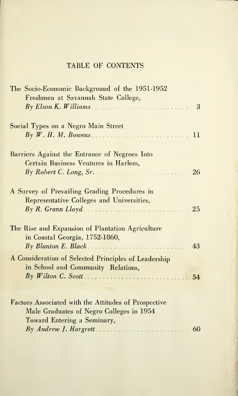## TABLE OF CONTENTS

| The Socio-Economic Background of the 1951-1952       |  |
|------------------------------------------------------|--|
| Freshmen at Savannah State College,                  |  |
|                                                      |  |
|                                                      |  |
| Social Types on a Negro Main Street                  |  |
|                                                      |  |
|                                                      |  |
| Barriers Against the Entrance of Negroes Into        |  |
| Certain Business Ventures in Harlem,                 |  |
|                                                      |  |
|                                                      |  |
|                                                      |  |
| A Survey of Prevailing Grading Procedures in         |  |
| Representative Colleges and Universities,            |  |
| 25                                                   |  |
|                                                      |  |
| The Rise and Expansion of Plantation Agriculture     |  |
| in Coastal Georgia, 1752-1860,                       |  |
|                                                      |  |
|                                                      |  |
| A Consideration of Selected Principles of Leadership |  |
| in School and Community Relations,                   |  |
|                                                      |  |
|                                                      |  |
|                                                      |  |
| Factors Associated with the Attitudes of Prospective |  |
| Male Graduates of Negro Colleges in 1954             |  |
| Toward Entering a Seminary,                          |  |
|                                                      |  |
|                                                      |  |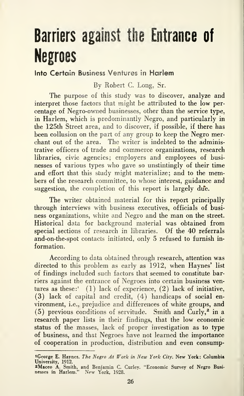# Barriers against the Entrance of Negroes

### Into Certain Business Ventures in Harlem

By Robert C. Long, Sr.

The purpose of this study was to discover, analyze and interpret those factors that might be attributed to the low percentage of Negro-owned businesses, other than the service type, in Harlem, which is predominantly Negro, and particularly in the 125th Street area, and to discover, if possible, if there has been collusion on the part of any group to keep the Negro merchant out of the area. The writer is indebted to the administrative officers of trade and commerce organizations, research libraries, civic agencies; employers and employees of busi nesses of various types who gave so unstintingly of their time and effort that this study might materialize; and to the members of the research committee, to whose interest, guidance and suggestion, the completion of this report is largely due.

The writer obtained material for this report principally through interviews with business executives, officials of busi ness organizations, white and Negro and the man on the street. Historical data for background material was obtained from special sections of research in libraries. Of the 40 referrals and-on-the-spot contacts initiated, only 5 refused to furnish in formation.

According to data obtained through research, attention was directed to this problem as early as 1912, when Haynes' list of findings included such factors that seemed to constitute barriers against the entrance of Negroes into certain business ventures as these:' (1) lack of experience, (2) lack of initiative, (3) lack of capital and credit, (4) handicaps of social en vironment, i.e., prejudice and differences of white groups, and (5) previous conditions of servitude. Smith and  $\text{Curly,}^2$  in a research paper lists in their findings, that the low economic status of the masses, lack of proper investigation as to type of business, and that Negroes have not learned the importance of cooperation in production, distribution and even consump-

<sup>&</sup>lt;sup>1</sup>George E. Haynes. *The Negro At Work in New York City*. New York: Columbia<br>University, 1912.<br><sup>2</sup>Maceo A. Smith, and Benjamin C. Curley. "Economic Survey of Negro Busi-<br>nesses in Harlem." New York, 1928.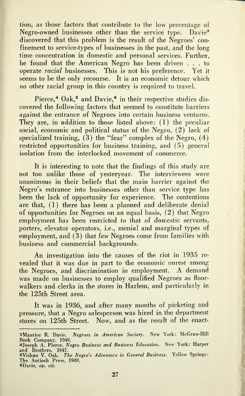tion, as those factors that contribute to the low percentage of Negro-owned businesses other than the service type. Davie<sup>3</sup> discovered that this problem is the result of the Negroes' con finement to service-types of businesses in the past, and the long time concentration in domestic and personal services. Further, he found that the American Negro has been driven ... to operate racial businesses. This is not his preference. Yet it seems to be the only recourse. It is an economic detour which no other racial group in this country is required to travel.

Pierce,<sup>4</sup> Oak,<sup>5</sup> and Davie,<sup>6</sup> in their respective studies discovered the following factors that seemed to constitute barriers against the entrance of Negroes into certain business ventures. They are, in addition to those listed above: (1) the peculiar social, economic and political status of the Negro, (2) lack of specialized training,  $(3)$  the "fear" complex of the Negro,  $(4)$ restricted opportunities for business training, and (5) general isolation from the interlocked movement of commerce.

It is interesting to note that the findings of this study are not too unlike those of yesteryear. The interviewees were unanimous in their beliefs that the main barrier against the Negro's entrance into businesses other than service type has been the lack of opportunity for experience. The contentions are that, (1) there has been a planned and deliberate denial of opportunities for Negroes on an equal basis, (2) that Negro employment has been restricted to that of domestic servants, porters, elevator operators, i.e., menial and marginal types of employment, and (3) that few Negroes come from families with business and commercial backgrounds.

An investigation into the causes of the riot in 1935 re vealed that it was due in part to the economic unrest among the Negroes, and discrimination in employment. A demand was made on businesses to employ qualified Negroes as floor walkers and clerks in the stores in Harlem, and particularly in the 125th Street area.

It was in 1936, and after many months of picketing and pressure, that a Negro salesperson was hired in the department stores on 125th Street. Now, and as the result of the enact-

sMaurice R. Davie. Negroes in American Society. New York: McGraw-Hill Book Company, 1949.

<sup>4</sup>Joseph A. Pierce. *Negro Business and Business Education*. New York: Harper<br>and Brothers, 1947.<br>5Vishnu V. Oak. *The Negro's Adventure in General Business*. Yellow Springs:

The Antioch Press, 1949. sDavie, op. cit.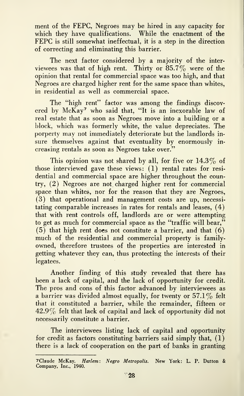ment of the FEPC, Negroes may be hired in any capacity for which they have qualifications. While the enactment of the FEPC is still somewhat ineffectual, it is <sup>a</sup> step in the direction of correcting and eliminating this barrier.

The next factor considered by a majority of the inter viewees was that of high rent. Thirty or  $85.7\%$  were of the opinion that rental for commercial space was too high, and that Negroes are charged higher rent for the same space than whites, in residential as well as commercial space.

The "high rent" factor was among the findings discovered by McKay' who said that, "It is an inexorable law of real estate that as soon as Negroes move into a building or a block, which was formerly white, the value depreciates. The porperty may not immediately deteriorate but the landlords in sure themselves against that eventuality by enormously increasing rentals as soon as Negroes take over."

This opinion was not shared by all, for five or  $14.3\%$  of those interviewed gave these views: (1) rental rates for resi dential and commercial space are higher throughout the country, (2) Negroes are not charged higher rent for commercial space than whites, nor for the reason that they are Negroes, (3) that operational and management costs are up, necessitating comparable increases in rates for rentals and leases, (4) that with rent controls off, landlords are or were attempting to get as much for commercial space as the "traffic will bear,"  $(5)$  that high rent does not constitute a barrier, and that  $(6)$ much of the residential and commercial property is familyowned, therefore trustees of the properties are interested in getting whatever they can, thus protecting the interests of their legatees.

Another finding of this study revealed that there has been a lack of capital, and the lack of opportunity for credit. The pros and cons of this factor advanced by interviewees as a barrier was divided almost equally, for twenty or  $57.1\%$  felt that it constituted a barrier, while the remainder, fifteen or  $42.9\%$  felt that lack of capital and lack of opportunity did not necessarily constitute a barrier.

The interviewees listing lack of capital and opportunity for credit as factors constituting barriers said simply that,  $(1)$ there is a lack of cooperation on the part of banks in granting

<sup>7</sup>Claude McKay. Harlem: Negro Metropolis. New York: L. P. Dutton & Company, Inc., 1940.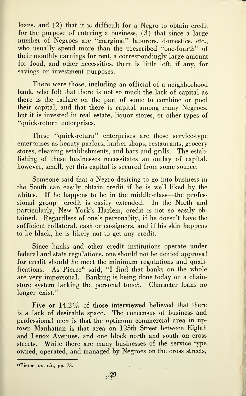loans, and (2) that it is difficult for a Negro to obtain credit for the purpose of entering a business,  $(3)$  that since a large number of Negroes are "marginal" laborers, domestics, etc., who usually spend more than the prescribed "one-fourth" of their monthly earnings for rent, a correspondingly large amount for food, and other necessities, there is little left, if any, for savings or investment purposes.

There were those, including an official of a neighborhood bank, who felt that there is not so much the lack of capital as there is the failure on the part of some to combine or pool their capital, and that there is capital among many Negroes, but it is invested in real estate, liquor stores, or other types of "quick-return enterprises.

These "quick-return" enterprises are those service-type enterprises as beauty parlors, barber shops, restaurants, grocery stores, cleaning establishments, and bars and grills. The establishing of these businesses necessitates an outlay of capital, however, small, yet this capital is secured from some source.

Someone said that a Negro desiring to go into business in the South can easily obtain credit if he is well liked by the whites. If he happens to be in the middle-class—the professional group—credit is easily extended. In the North and particularly, New York's Harlem, credit is not so easily obtained. Regardless of one's personality, if he doesn't have the sufficient collateral, cash or co-signers, and if his skin happens to be black, he is likely not to get any credit.

Since banks and other credit institutions operate under federal and state regulations, one should not be denied approval for credit should he meet the minimum regulations and qualifications. As Pierce® said, "I find that banks on the whole are very impersonal. Banking is being done today on a chainstore system lacking the personal touch. Character loans no longer exist."

Five or 14.2% of those interviewed believed that there is a lack of desirable space. The concensus of business and professional men is that the optimum commercial area in uptown Manhattan is that area on 125th Street between Eighth and Lenox Avenues, and one block north and south on cross streets. While there are many businesses of the service type owned, operated, and managed by Negroes on the cross streets.

sPierce, op. cit., pp. 73.

 $\mathcal{L}_{\text{max}}^{(k)}$  , where  $k$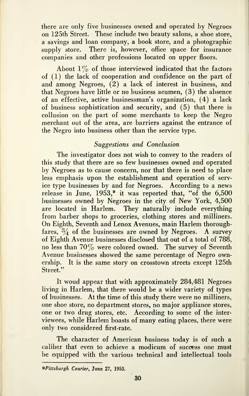there are only five businesses owned and operated by Negroes on 125th Street. These include two beauty salons, a shoe store, a savings and loan company, a book store, and a photographic supply store. There is, however, office space for insurance companies and other professions located on upper floors.

About  $1\%$  of those interviewed indicated that the factors of (1) the lack of cooperation and confidence on the part of and among Negroes, (2) a lack of interest in business, and that Negroes have little or no business acumen, (3) the absence of an effective, active businessman's organization, (4) a lack of business sophistication and security, and (5) that there is collusion on the part of some merchants to keep the Negro merchant out of the area, are barriers against the entrance of the Negro into business other than the service type.

### Suggestions and Conclusion

The investigator does not wish to convey to the readers of this study that there are so few businesses owned and operated by Negroes as to cause concern, nor that there is need to place less emphasis upon the establishment and operation of service type businesses by and for Negroes. According to a news release in June, 1953,<sup>9</sup> it was reported that, "of the 6,500 businesses owned by Negroes in the city of New York, 4,500 are located in Harlem. They naturally include everything from barber shops to groceries, clothing stores and milliners. On Eighth, Seventh and Lenox Avenues, main Harlem thoroughfares,  $\frac{3}{4}$  of the businesses are owned by Negroes. A survey of Eighth Avenue businesses disclosed that out of a total of 788, no less than  $70\%$  were colored owned. The survey of Seventh Avenue businesses showed the same percentage of Negro ownership. It is the same story on crosstown streets except 125th Street."

It woud appear that with approximately 284,481 Negroes living in Harlem, that there would be a wider variety of types of businesses. At the time of this study there were no milliners, one shoe store, no department stores, no major appliance stores, one or two drug stores, etc. According to some of the inter viewees, while Harlem boasts of many eating places, there were only two considered first-rate.

The character of American business today is of such a caliber that even to achieve a modicum of success one must be equipped with the various technical and intellectual tools

^Pittsburgh Courier, June 27, 1953.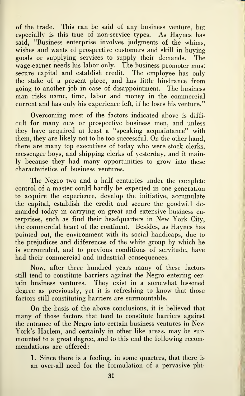of the trade. This can be said of any business venture, but especially is this true of non-service types. As Haynes has said, "Business enterprise involves judgments of the whims, wishes and wants of prospective customers and skill in buying goods or supplying services to supply their demands. The wage-earner needs his labor only. The business promoter must secure capital and establish credit. The employee has only the stake of a present place, and has little hindrance from going to another job in case of disappointment. The business man risks name, time, labor and money in the commercial current and has only his experience left, if he loses his venture."

Overcoming most of the factors indicated above is diffi cult for many new or prospective business men, and unless they have acquired at least a "speaking acquaintance" with them, they are likely not to be too successful. On the other hand, there are many top executives of today who were stock clerks, messenger boys, and shipping clerks of yesterday, and it mainly because they had many opportunities to grow into these characteristics of business ventures.

The Negro two and a half centuries under the complete control of a master could hardly be expected in one generation to acquire the experience, develop the initiative, accumulate the capital, establish the credit and secure the goodwill demanded today in carrying on great and extensive business enterprises, such as find their headquarters in New York City, the commercial heart of the continent. Besides, as Haynes has pointed out, the environment with its social handicaps, due to the prejudices and differences of the white group by which he is surrounded, and to previous conditions of servitude, have had their commercial and industrial consequences.

Now, after three hundred years many of these factors still tend to constitute barriers against the Negro entering cer tain business ventures. They exist in a somewhat lessened degree as previously, yet it is refreshing to know that those factors still constituting barriers are surmountable.

On the basis of the above conclusions, it is believed that many of those factors that tend to constitute barriers against the entrance of the Negro into certain business ventures in New York's Harlem, and certainly in other like areas, may be sur mounted to a great degree, and to this end the following recom mendations are offered:

1. Since there is a feeling, in some quarters, that there is an over-all need for the formulation of a pervasive phi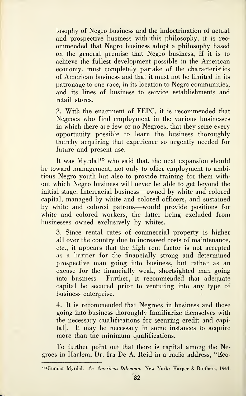losophy of Negro business and the indoctrination of actual and prospective business with this philosophy, it is rec ommended that Negro business adopt a philosophy based on the general premise that Negro business, if it is to achieve the fullest development possible in the American economy, must completely partake of the characteristics of American business and that it must not be limited in its patronage to one race, in its location to Negro communities, and its lines of business to service establishments and retail stores.

2. With the enactment of FEPC, it is recommended that Negroes who find employment in the various businesses in which there are few or no Negroes, that they seize every opportunity possible to learn the business thoroughly thereby acquiring that experience so urgently needed for future and present use.

It was Myrdal<sup>10</sup> who said that, the next expansion should be toward management, not only to offer employment to ambitious Negro youth but also to provide training for them without which Negro business will never be able to get beyond the initial stage. Interracial business—owned by white and colored capital, managed by white and colored officers, and sustained by white and colored patrons—would provide positions for white and colored workers, the latter being excluded from businesses owned exclusively by whites.

3. Since rental rates of commercial property is higher all over the country due to increased costs of maintenance, etc., it appears that the high rent factor is not accepted as a barrier for the financially strong and determined prospective man going into business, but rather as an excuse for the financially weak, shortsighted man going into business. Further, it recommended that adequate capital be secured prior to venturing into any type of business enterprise.

4. It is recommended that Negroes in business and those going into business thoroughly familiarize themselves with the necessary qualifications for securing credit and capital]. It may be necessary in some instances to acquire more than the minimum qualifications.

To further point out that there is capital among the Negroes in Harlem, Dr. Ira De A. Reid in a radio address, "Eco-

'oGunnar Myrdal. An American Dilemma. New York: Harper & Brothers, 1944.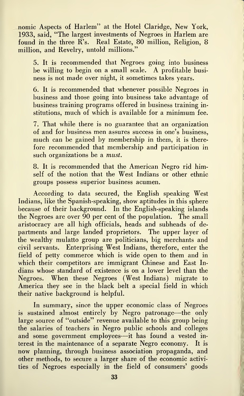nomic Aspects of Harlem" at the Hotel Claridge, New York, 1933, said, "The largest investments of Negroes in Harlem are found in the three R's. Real Estate, 80 million. Religion, 8 million, and Revelry, untold millions."

5. It is recommended that Negroes going into business be willing to begin on <sup>a</sup> small scale. A profitable busi ness is not made over night, it sometimes takes years.

6. It is recommended that whenever possible Negroes in business and those going into business take advantage of business training programs offered in business training in stitutions, much of which is available for a minimum fee.

7. That while there is no guarantee that an organization of and for business men assures success in one's business, much can be gained by membership in them, it is therefore recommended that membership and participation in such organizations be a *must*.

8. It is recommended that the American Negro rid himself of the notion that the West Indians or other ethnic groups possess superior business acumen.

According to data secured, the English speaking West Indians, like the Spanish-speaking, show aptitudes in this sphere because of their background. In the English-speaking islands the Negroes are over 90 per cent of the population. The small aristocracy are all high officials, heads and subheads of departments and large landed proprietors. The upper layer of the wealthy mulatto group are politicians, big merchants and civil servants. Enterprising West Indians, therefore, enter the field of petty commerce which is wide open to them and in which their competitors are immigrant Chinese and East Indians whose standard of existence is on a lower level than the Negroes. When these Negroes (West Indians) migrate to America they see in the black belt a special field in which their native background is helpful.

In summary, since the upper economic class of Negroes is sustained almost entirely by Negro patronage—the only large source of "outside" revenue available to this group being the salaries of teachers in Negro public schools and colleges and some government employees—it has found <sup>a</sup> vested in terest in the maintenance of a separate Negro economy. It is now planning, through business association propaganda, and other methods, to secure a larger share of the economic activities of Negroes especially in the field of consumers' goods